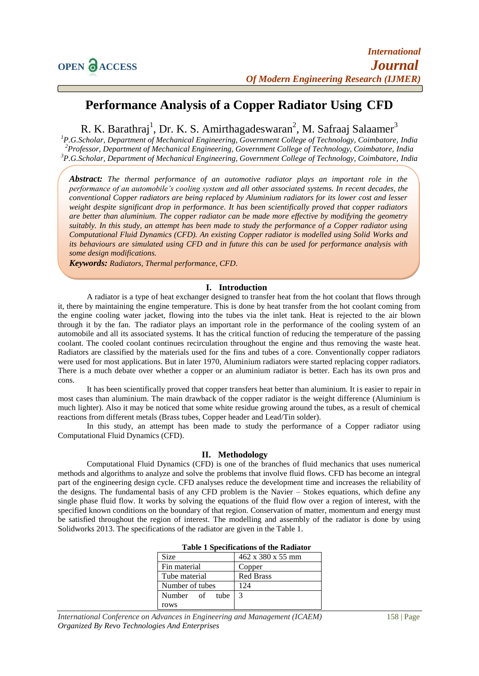# **Performance Analysis of a Copper Radiator Using CFD**

R. K. Barathraj<sup>1</sup>, Dr. K. S. Amirthagadeswaran<sup>2</sup>, M. Safraaj Salaamer<sup>3</sup>

*<sup>1</sup>P.G.Scholar, Department of Mechanical Engineering, Government College of Technology, Coimbatore, India <sup>2</sup>Professor, Department of Mechanical Engineering, Government College of Technology, Coimbatore, India <sup>3</sup>P.G.Scholar, Department of Mechanical Engineering, Government College of Technology, Coimbatore, India*

*Abstract: The thermal performance of an automotive radiator plays an important role in the performance of an automobile's cooling system and all other associated systems. In recent decades, the conventional Copper radiators are being replaced by Aluminium radiators for its lower cost and lesser weight despite significant drop in performance. It has been scientifically proved that copper radiators are better than aluminium. The copper radiator can be made more effective by modifying the geometry suitably. In this study, an attempt has been made to study the performance of a Copper radiator using Computational Fluid Dynamics (CFD). An existing Copper radiator is modelled using Solid Works and its behaviours are simulated using CFD and in future this can be used for performance analysis with some design modifications.*

*Keywords: Radiators, Thermal performance, CFD.*

### **I. Introduction**

A radiator is a type of heat exchanger designed to transfer heat from the hot coolant that flows through it, there by maintaining the engine temperature. This is done by heat transfer from the hot coolant coming from the engine cooling water jacket, flowing into the tubes via the inlet tank. Heat is rejected to the air blown through it by the fan. The radiator plays an important role in the performance of the cooling system of an automobile and all its associated systems. It has the critical function of reducing the temperature of the passing coolant. The cooled coolant continues recirculation throughout the engine and thus removing the waste heat. Radiators are classified by the materials used for the fins and tubes of a core. Conventionally copper radiators were used for most applications. But in later 1970, Aluminium radiators were started replacing copper radiators. There is a much debate over whether a copper or an aluminium radiator is better. Each has its own pros and cons.

It has been scientifically proved that copper transfers heat better than aluminium. It is easier to repair in most cases than aluminium. The main drawback of the copper radiator is the weight difference (Aluminium is much lighter). Also it may be noticed that some white residue growing around the tubes, as a result of chemical reactions from different metals (Brass tubes, Copper header and Lead/Tin solder).

In this study, an attempt has been made to study the performance of a Copper radiator using Computational Fluid Dynamics (CFD).

### **II. Methodology**

Computational Fluid Dynamics (CFD) is one of the branches of fluid mechanics that uses numerical methods and algorithms to analyze and solve the problems that involve fluid flows. CFD has become an integral part of the engineering design cycle. CFD analyses reduce the development time and increases the reliability of the designs. The fundamental basis of any CFD problem is the Navier – Stokes equations, which define any single phase fluid flow. It works by solving the equations of the fluid flow over a region of interest, with the specified known conditions on the boundary of that region. Conservation of matter, momentum and energy must be satisfied throughout the region of interest. The modelling and assembly of the radiator is done by using Solidworks 2013. The specifications of the radiator are given in the Table 1.

| <b>Table 1 Specifications of the Radiator</b> |                   |  |
|-----------------------------------------------|-------------------|--|
| Size                                          | 462 x 380 x 55 mm |  |
| Fin material                                  | Copper            |  |
| Tube material                                 | Red Brass         |  |
| Number of tubes                               | 124               |  |
| Number of tube 3                              |                   |  |
| rows                                          |                   |  |

*International Conference on Advances in Engineering and Management (ICAEM)* 158 | Page *Organized By Revo Technologies And Enterprises*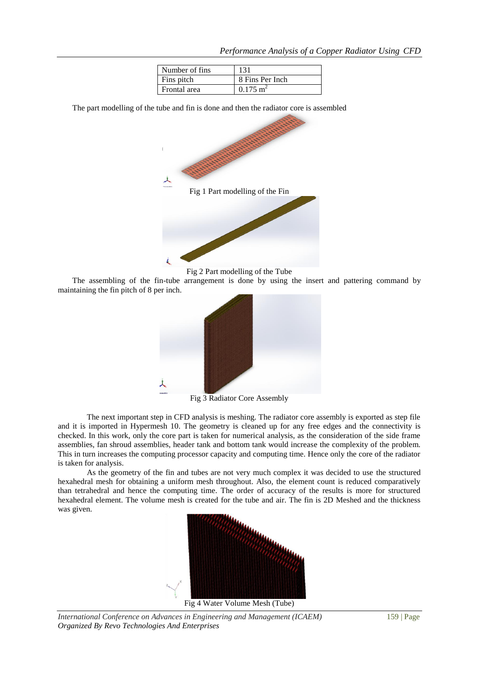| Number of fins |                        |
|----------------|------------------------|
| Fins pitch     | 8 Fins Per Inch        |
| Frontal area   | $0.175$ m <sup>2</sup> |

The part modelling of the tube and fin is done and then the radiator core is assembled



Fig 2 Part modelling of the Tube

The assembling of the fin-tube arrangement is done by using the insert and pattering command by maintaining the fin pitch of 8 per inch.



Fig 3 Radiator Core Assembly

The next important step in CFD analysis is meshing. The radiator core assembly is exported as step file and it is imported in Hypermesh 10. The geometry is cleaned up for any free edges and the connectivity is checked. In this work, only the core part is taken for numerical analysis, as the consideration of the side frame assemblies, fan shroud assemblies, header tank and bottom tank would increase the complexity of the problem. This in turn increases the computing processor capacity and computing time. Hence only the core of the radiator is taken for analysis.

As the geometry of the fin and tubes are not very much complex it was decided to use the structured hexahedral mesh for obtaining a uniform mesh throughout. Also, the element count is reduced comparatively than tetrahedral and hence the computing time. The order of accuracy of the results is more for structured hexahedral element. The volume mesh is created for the tube and air. The fin is 2D Meshed and the thickness was given.



*International Conference on Advances in Engineering and Management (ICAEM)* 159 | Page *Organized By Revo Technologies And Enterprises*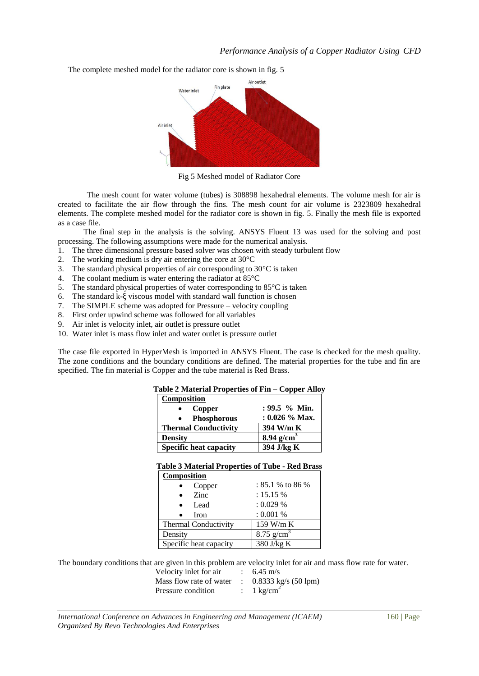The complete meshed model for the radiator core is shown in fig. 5



Fig 5 Meshed model of Radiator Core

The mesh count for water volume (tubes) is 308898 hexahedral elements. The volume mesh for air is created to facilitate the air flow through the fins. The mesh count for air volume is 2323809 hexahedral elements. The complete meshed model for the radiator core is shown in fig. 5. Finally the mesh file is exported as a case file.

The final step in the analysis is the solving. ANSYS Fluent 13 was used for the solving and post processing. The following assumptions were made for the numerical analysis.

- 1. The three dimensional pressure based solver was chosen with steady turbulent flow
- 2. The working medium is dry air entering the core at 30°C
- 3. The standard physical properties of air corresponding to 30°C is taken
- 4. The coolant medium is water entering the radiator at 85°C
- 5. The standard physical properties of water corresponding to 85°C is taken
- 6. The standard k-ξ viscous model with standard wall function is chosen
- 7. The SIMPLE scheme was adopted for Pressure velocity coupling
- 8. First order upwind scheme was followed for all variables
- 9. Air inlet is velocity inlet, air outlet is pressure outlet
- 10. Water inlet is mass flow inlet and water outlet is pressure outlet

The case file exported in HyperMesh is imported in ANSYS Fluent. The case is checked for the mesh quality. The zone conditions and the boundary conditions are defined. The material properties for the tube and fin are specified. The fin material is Copper and the tube material is Red Brass.

| Table 2 Material Properties of Fin - Copper Alloy |                          |
|---------------------------------------------------|--------------------------|
| Composition                                       |                          |
| Copper                                            | $: 99.5 \%$ Min.         |
| <b>Phosphorous</b>                                | $: 0.026 \%$ Max.        |
| <b>Thermal Conductivity</b>                       | 394 W/m K                |
| <b>Density</b>                                    | $8.94$ g/cm <sup>3</sup> |
| <b>Specific heat capacity</b>                     | 394 J/kg K               |

### **Table 3 Material Properties of Tube - Red Brass Composition**

| COMPOSITION            |                     |
|------------------------|---------------------|
| Copper                 | $: 85.1 \%$ to 86 % |
| <b>Zinc</b>            | $: 15.15 \%$        |
| Lead<br>$\bullet$      | : 0.029 %           |
| Iron                   | : 0.001 %           |
| Thermal Conductivity   | $159$ W/m K         |
| Density                | 8.75 $g/cm^3$       |
| Specific heat capacity | $380$ J/kg K        |

The boundary conditions that are given in this problem are velocity inlet for air and mass flow rate for water.

Velocity inlet for air  $\therefore$  6.45 m/s

Mass flow rate of water : 0.8333 kg/s (50 lpm) Pressure condition :  $1 \text{ kg/cm}^2$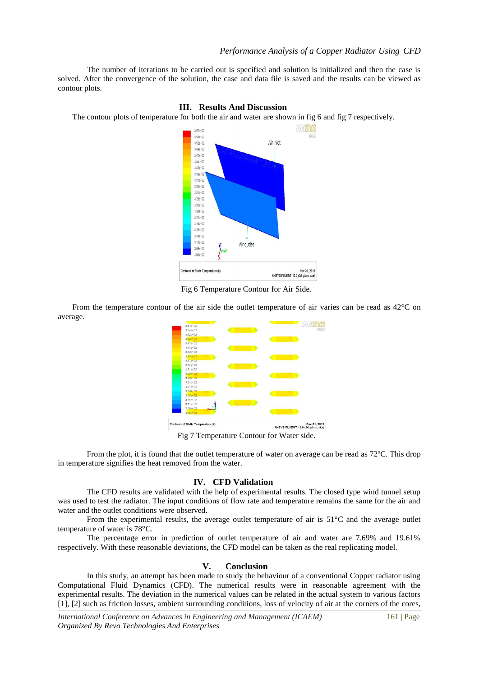The number of iterations to be carried out is specified and solution is initialized and then the case is solved. After the convergence of the solution, the case and data file is saved and the results can be viewed as contour plots.

**III. Results And Discussion**

#### The contour plots of temperature for both the air and water are shown in fig 6 and fig 7 respectively. ANSYS  $3.54$ et 01 Air inlet  $3.52e+02$  $3.49a + 0$  $3.47a+0$ 3444+02  $3.42e+0$  $3.39a+1$  $3.37a+0$ 3.34e+01  $3.31a+0$  $3.29e+0$  $3.26e + 0.$  $3.24 + 0$  $3.21e+0$  $3.19e+0$  $3.164-0$  $3.14a+0$  $3.11e+0$ Air outlet  $3.09e+0$  $3.0640$ Nov 26, 2013<br>ANSYS FLUENT 13.0 (3d, pbns, ske) ontours of Static Temperature (k)

Fig 6 Temperature Contour for Air Side.

From the temperature contour of the air side the outlet temperature of air varies can be read as 42°C on average.



Fig 7 Temperature Contour for Water side.

From the plot, it is found that the outlet temperature of water on average can be read as 72ºC. This drop in temperature signifies the heat removed from the water.

### **IV. CFD Validation**

The CFD results are validated with the help of experimental results. The closed type wind tunnel setup was used to test the radiator. The input conditions of flow rate and temperature remains the same for the air and water and the outlet conditions were observed.

From the experimental results, the average outlet temperature of air is 51°C and the average outlet temperature of water is 78°C.

The percentage error in prediction of outlet temperature of air and water are 7.69% and 19.61% respectively. With these reasonable deviations, the CFD model can be taken as the real replicating model.

## **V. Conclusion**

In this study, an attempt has been made to study the behaviour of a conventional Copper radiator using Computational Fluid Dynamics (CFD). The numerical results were in reasonable agreement with the experimental results. The deviation in the numerical values can be related in the actual system to various factors [1], [2] such as friction losses, ambient surrounding conditions, loss of velocity of air at the corners of the cores,

*International Conference on Advances in Engineering and Management (ICAEM)* 161 | Page *Organized By Revo Technologies And Enterprises*